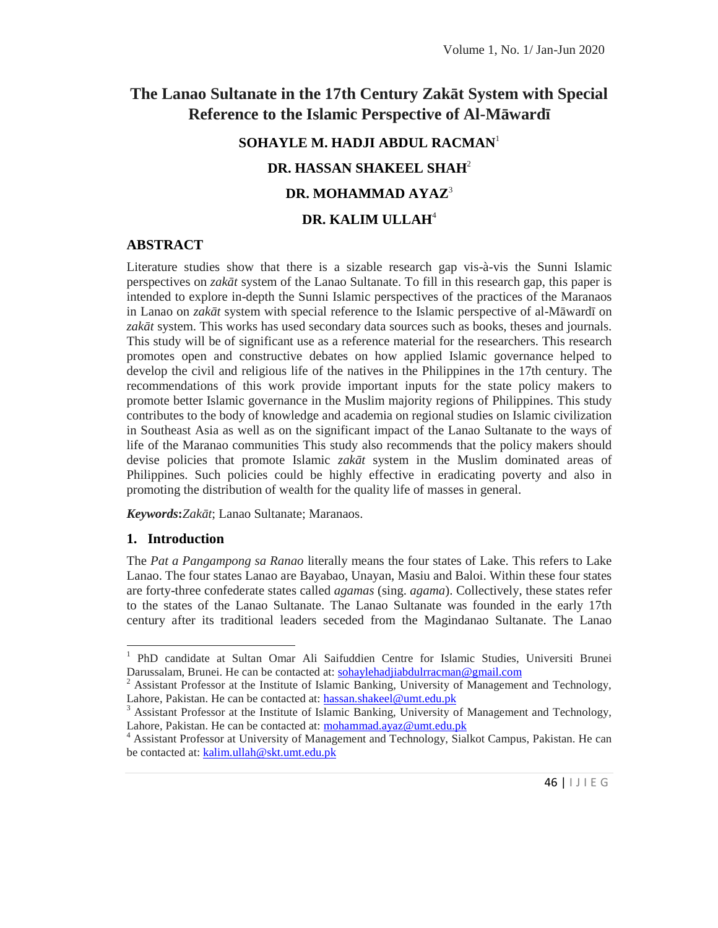# **The Lanao Sultanate in the 17th Century Zakāt System with Special** Reference to the Islamic Perspective of Al-M ward

# **SOHAYLE M. HADJI ABDUL RACMAN**<sup>1</sup> **DR. HASSAN SHAKEEL SHAH**<sup>2</sup>

## **DR. MOHAMMAD AYAZ**<sup>3</sup>

## **DR. KALIM ULLAH**<sup>4</sup>

## **ABSTRACT**

Literature studies show that there is a sizable research gap vis-à-vis the Sunni Islamic perspectives on *zak t* system of the Lanao Sultanate. To fill in this research gap, this paper is intended to explore in-depth the Sunni Islamic perspectives of the practices of the Maranaos in Lanao on *zak t* system with special reference to the Islamic perspective of al-M ward on zak t system. This works has used secondary data sources such as books, theses and journals. This study will be of significant use as a reference material for the researchers. This research promotes open and constructive debates on how applied Islamic governance helped to develop the civil and religious life of the natives in the Philippines in the 17th century. The recommendations of this work provide important inputs for the state policy makers to promote better Islamic governance in the Muslim majority regions of Philippines. This study contributes to the body of knowledge and academia on regional studies on Islamic civilization in Southeast Asia as well as on the significant impact of the Lanao Sultanate to the ways of life of the Maranao communities This study also recommends that the policy makers should devise policies that promote Islamic *zak t* system in the Muslim dominated areas of Philippines. Such policies could be highly effective in eradicating poverty and also in promoting the distribution of wealth for the quality life of masses in general.

*Keywords***:***Zakāt*; Lanao Sultanate; Maranaos.

## **1. Introduction**

The *Pat a Pangampong sa Ranao* literally means the four states of Lake. This refers to Lake Lanao. The four states Lanao are Bayabao, Unayan, Masiu and Baloi. Within these four states are forty-three confederate states called *agamas* (sing. *agama*). Collectively, these states refer to the states of the Lanao Sultanate. The Lanao Sultanate was founded in the early 17th century after its traditional leaders seceded from the Magindanao Sultanate. The Lanao

<sup>&</sup>lt;sup>1</sup> PhD candidate at Sultan Omar Ali Saifuddien Centre for Islamic Studies, Universiti Brunei Darussalam, Brunei. He can be contacted at: sohaylehadjiabdulrracman@gmail.com

 $2$  Assistant Professor at the Institute of Islamic Banking, University of Management and Technology, Lahore, Pakistan. He can be contacted at: hassan.shakeel@umt.edu.pk

d Technology,<br>kistan. He can<br>46 | I J I E G  $3$  Assistant Professor at the Institute of Islamic Banking, University of Management and Technology, Lahore, Pakistan. He can be contacted at: mohammad.ayaz@umt.edu.pk

<sup>4</sup> Assistant Professor at University of Management and Technology, Sialkot Campus, Pakistan. He can be contacted at: kalim.ullah@skt.umt.edu.pk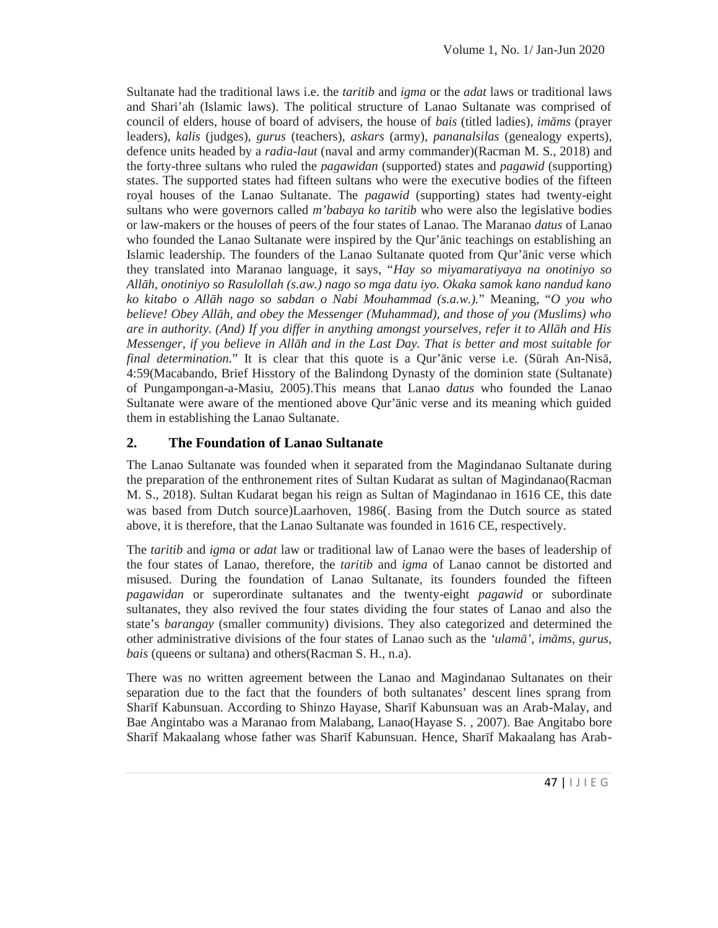Sultanate had the traditional laws i.e. the *taritib* and *igma* or the *adat* laws or traditional laws and Shari'ah (Islamic laws). The political structure of Lanao Sultanate was comprised of council of elders, house of board of advisers, the house of *bais* (titled ladies), *im ms* (prayer leaders), *kalis* (judges), *gurus* (teachers), *askars* (army), *pananalsilas* (genealogy experts), defence units headed by a *radia-laut* (naval and army commander)(Racman M. S., 2018) and the forty-three sultans who ruled the *pagawidan* (supported) states and *pagawid* (supporting) states. The supported states had fifteen sultans who were the executive bodies of the fifteen royal houses of the Lanao Sultanate. The *pagawid* (supporting) states had twenty-eight sultans who were governors called *m'babaya ko taritib* who were also the legislative bodies or law-makers or the houses of peers of the four states of Lanao. The Maranao *datus* of Lanao who founded the Lanao Sultanate were inspired by the Qur' nic teachings on establishing an Islamic leadership. The founders of the Lanao Sultanate quoted from Qur' nic verse which they translated into Maranao language, it says, "*Hay so miyamaratiyaya na onotiniyo so Allāh, onotiniyo so Rasulollah (s.aw.) nago so mga datu iyo. Okaka samok kano nandud kano ko kitabo o Allāh nago so sabdan o Nabi Mouhammad (s.a.w.).*" Meaning, "*O you who believe! Obey All h, and obey the Messenger (Muhammad), and those of you (Muslims) who are in authority. (And) If you differ in anything amongst yourselves, refer it to All h and His Messenger, if you believe in All h and in the Last Day. That is better and most suitable for final determination.*" It is clear that this quote is a Qur' nic verse i.e. (S rah An-Nis, 4:59(Macabando, Brief Hisstory of the Balindong Dynasty of the dominion state (Sultanate) of Pungampongan-a-Masiu, 2005).This means that Lanao *datus* who founded the Lanao Sultanate were aware of the mentioned above Qur' nic verse and its meaning which guided them in establishing the Lanao Sultanate.

## **2. The Foundation of Lanao Sultanate**

The Lanao Sultanate was founded when it separated from the Magindanao Sultanate during the preparation of the enthronement rites of Sultan Kudarat as sultan of Magindanao(Racman M. S., 2018). Sultan Kudarat began his reign as Sultan of Magindanao in 1616 CE, this date was based from Dutch source)Laarhoven, 1986(. Basing from the Dutch source as stated above, it is therefore, that the Lanao Sultanate was founded in 1616 CE, respectively.

The *taritib* and *igma* or *adat* law or traditional law of Lanao were the bases of leadership of the four states of Lanao, therefore, the *taritib* and *igma* of Lanao cannot be distorted and misused. During the foundation of Lanao Sultanate, its founders founded the fifteen *pagawidan* or superordinate sultanates and the twenty-eight *pagawid* or subordinate sultanates, they also revived the four states dividing the four states of Lanao and also the state's *barangay* (smaller community) divisions. They also categorized and determined the other administrative divisions of the four states of Lanao such as the *'ulam'*, *im ms, gurus*, *bais* (queens or sultana) and others(Racman S. H., n.a).

-Malay, and<br>ngitabo bore<br>ng has Arab-<br>47 | | J | E G There was no written agreement between the Lanao and Magindanao Sultanates on their separation due to the fact that the founders of both sultanates' descent lines sprang from Sharīf Kabunsuan. According to Shinzo Hayase, Sharīf Kabunsuan was an Arab-Malay, and Bae Angintabo was a Maranao from Malabang, Lanao(Hayase S. , 2007). Bae Angitabo bore Shar f Makaalang whose father was Shar f Kabunsuan. Hence, Shar f Makaalang has Arab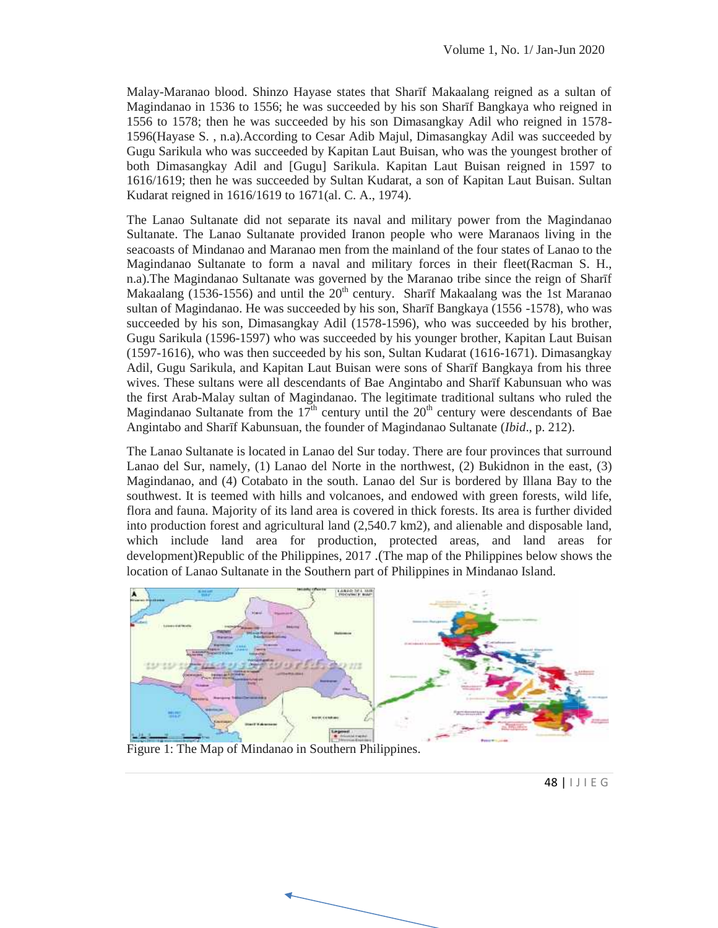Malay-Maranao blood. Shinzo Hayase states that Sharīf Makaalang reigned as a sultan of Magindanao in 1536 to 1556; he was succeeded by his son Shar f Bangkaya who reigned in Magindanao in 1536 to 1556; he was succeeded by his son Shar f Bangkaya who reigned in 1578-<br>1556 to 1578; then he was succeeded by his son Dimasangkay Adil who reigned in 1578-1596(Hayase S. , n.a).According to Cesar Adib Majul, Dimasangkay Adil was succeeded by Gugu Sarikula who was succeeded by Kapitan Laut Buisan, who was the youngest brother of both Dimasangkay Adil and [Gugu] Sarikula. Kapitan Laut Buisan reigned in 1597 to 1616/1619; then he was succeeded by Sultan Kudarat, a son of Kapitan Laut Buisan. Sultan Kudarat reigned in 1616/1619 to 1671(al. C. A., 1974).

The Lanao Sultanate did not separate its naval and military power from the Magindanao Sultanate. The Lanao Sultanate provided Iranon people who were Maranaos living in the seacoasts of Mindanao and Maranao men from the mainland of the four states of Lanao to the Magindanao Sultanate to form a naval and military forces in their fleet(Racman S. H., n.a).The Magindanao Sultanate was governed by the Maranao tribe since the reign of Shar f Makaalang  $(1536-1556)$  and until the  $20<sup>th</sup>$  century. Shar f Makaalang was the 1st Maranao sultan of Magindanao. He was succeeded by his son, Shar f Bangkaya (1556 -1578), who was succeeded by his son, Dimasangkay Adil (1578-1596), who was succeeded by his brother, Gugu Sarikula (1596-1597) who was succeeded by his younger brother, Kapitan Laut Buisan (1597-1616), who was then succeeded by his son, Sultan Kudarat (1616-1671). Dimasangkay Adil, Gugu Sarikula, and Kapitan Laut Buisan were sons of Shar f Bangkaya from his three Adil, Gugu Sarikula, and Kapitan Laut Buisan were sons of Shar f Bangkaya from his three<br>wives. These sultans were all descendants of Bae Angintabo and Shar f Kabunsuan who was the first Arab-Malay sultan of Magindanao. The legitimate traditional sultans who ruled the the first Arab-Malay sultan of Magindanao. The legitimate traditional sultans who ruled the Magindanao Sultanate from the 17<sup>th</sup> century until the 20<sup>th</sup> century were descendants of Bae Angintabo and Sharīf Kabunsuan, the founder of Magindanao Sultanate (*Ibid*., p. 212). states that Sthar f Makaalang reigned as a sultan of<br>states that Shar f Bangkaya who reigned in<br>secoceded by his son Shar f Bangkaya who reigned in<br>1784-<br>m Adib Majul, Dirmasangkay Adil who reigned in 1578-<br>rakinklal. Kapi Gugu Sarikula who was succeeded by Kapitan Laut Buisan, who was the youngest both Dimasangkay Adil and [Gugu] Sarikula. Kapitan Laut Buisan reigned in 1616/1619; then he was succeeded by Sultan Kudarat, a son of Kapitan La alang (1536-1556) and until the  $20^{\text{th}}$  century. Shar f Makaalang was the 1st Maranao of Magindanao. He was succeeded by his son, Shar f Bangkaya (1556 -1578), who was ded by his son, Dimasangkay Adil (1578-1596), who

The Lanao Sultanate is located in Lanao del Sur today. There are four provinces that surround Lanao del Sur, namely, (1) Lanao del Norte in the northwest, (2) Bukidnon in the east, (3) Magindanao, and (4) Cotabato in the south. Lanao del Sur is bordered by Illana Bay to the southwest. It is teemed with hills and volcanoes, and endowed with green forests, wild life, flora and fauna. Majority of its land area is covered in thick forests. Its area is further divided into production forest and agricultural land (2,540.7 km2), and alienable and disposable land, which include land area for production, protected areas, and land areas for development)Republic of the Philippines, 2017 .(The map of the Philippines below shows the location of Lanao Sultanate in the Southern part of Philippines in Mindanao Island. ntabo and Shar f Kabunsuan, the founder of Magindanao Sultanate (*Ibid.*, p. 212).<br>
Lanao Sultanate is located in Lanao del Sur today. There are four provinces that surround<br>  $D$  of  $D$  Bux, namely, (1) Lanao del Norte in



Figure 1: The Map of Mindanao in Southern Philippines.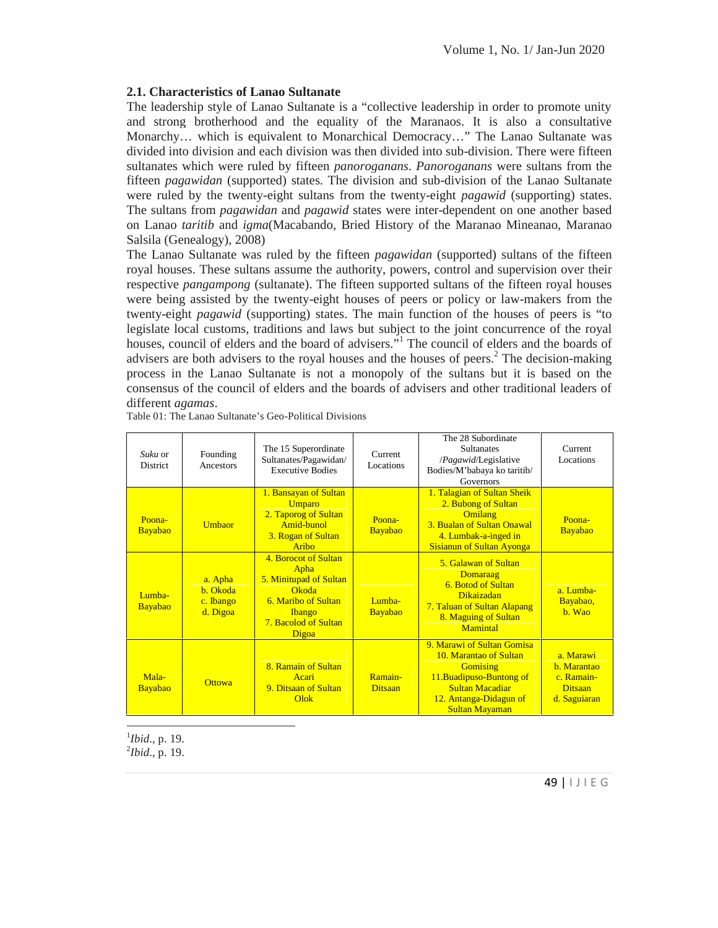## **2.1. Characteristics of Lanao Sultanate**

The leadership style of Lanao Sultanate is a "collective leadership in order to promote unity and strong brotherhood and the equality of the Maranaos. It is also a consultative Monarchy… which is equivalent to Monarchical Democracy…" The Lanao Sultanate was divided into division and each division was then divided into sub-division. There were fifteen sultanates which were ruled by fifteen *panoroganans*. *Panoroganans* were sultans from the fifteen *pagawidan* (supported) states. The division and sub-division of the Lanao Sultanate were ruled by the twenty-eight sultans from the twenty-eight *pagawid* (supporting) states. The sultans from *pagawidan* and *pagawid* states were inter-dependent on one another based on Lanao *taritib* and *igma*(Macabando, Bried History of the Maranao Mineanao, Maranao Salsila (Genealogy), 2008)

The Lanao Sultanate was ruled by the fifteen *pagawidan* (supported) sultans of the fifteen royal houses. These sultans assume the authority, powers, control and supervision over their respective *pangampong* (sultanate). The fifteen supported sultans of the fifteen royal houses were being assisted by the twenty-eight houses of peers or policy or law-makers from the twenty-eight *pagawid* (supporting) states. The main function of the houses of peers is "to legislate local customs, traditions and laws but subject to the joint concurrence of the royal houses, council of elders and the board of advisers."<sup>1</sup> The council of elders and the boards of advisers are both advisers to the royal houses and the houses of peers.<sup>2</sup> The decision-making process in the Lanao Sultanate is not a monopoly of the sultans but it is based on the consensus of the council of elders and the boards of advisers and other traditional leaders of different *agamas*.

| Suku or<br><b>District</b> | Founding<br>Ancestors                        | The 15 Superordinate<br>Sultanates/Pagawidan/<br><b>Executive Bodies</b>                                                                 | Current<br>Locations      | The 28 Subordinate<br><b>Sultanates</b><br>/ <i>Pagawid</i> /Legislative<br>Bodies/M'babaya ko taritib/<br>Governors                                                             | Current<br>Locations                                                            |
|----------------------------|----------------------------------------------|------------------------------------------------------------------------------------------------------------------------------------------|---------------------------|----------------------------------------------------------------------------------------------------------------------------------------------------------------------------------|---------------------------------------------------------------------------------|
| Poona-<br>Bayabao          | Umbaor                                       | 1. Bansayan of Sultan<br><b>Umparo</b><br>2. Taporog of Sultan<br>Amid-bunol<br>3. Rogan of Sultan<br>Aribo                              | Poona-<br>Bayabao         | 1. Talagian of Sultan Sheik<br>2. Bubong of Sultan<br>Omilang<br><b>3. Bualan of Sultan Onawal</b><br>4. Lumbak-a-inged in<br><b>Sisianun of Sultan Ayonga</b>                   | Poona-<br>Bayabao                                                               |
| Lumba-<br>Bayabao          | a. Apha<br>b. Okoda<br>c. Ibango<br>d. Digoa | 4. Borocot of Sultan<br>Apha<br>5. Minitupad of Sultan<br>Okoda<br>6. Maribo of Sultan<br><b>Ibango</b><br>7. Bacolod of Sultan<br>Digoa | Lumba-<br>Bayabao         | 5. Galawan of Sultan<br>Domaraag<br><b>6. Botod of Sultan</b><br><b>Dikaizadan</b><br>7. Taluan of Sultan Alapang<br>8. Maguing of Sultan<br><b>Mamintal</b>                     | $a.$ Lumba-<br>Bayabao,<br>$h$ . Wao                                            |
| Mala-<br>Bayabao           | <b>Ottowa</b>                                | 8. Ramain of Sultan<br>Acari<br>9. Ditsaan of Sultan<br>Olok                                                                             | Ramain-<br><b>Ditsaan</b> | 9. Marawi of Sultan Gomisa<br>10. Marantao of Sultan<br><b>Gomising</b><br>11. Buadipuso-Buntong of<br><b>Sultan Macadiar</b><br>12. Antanga-Didagun of<br><b>Sultan Mayaman</b> | a. Marawi<br><b>b.</b> Marantao<br>c. Ramain-<br><b>Ditsaan</b><br>d. Saguiaran |

Table 01: The Lanao Sultanate's Geo-Political Divisions

<sup>1</sup>*Ibid*., p. 19. <sup>2</sup>*Ibid*., p. 19.

|<br>|-<br>| 1 J | E G<br>|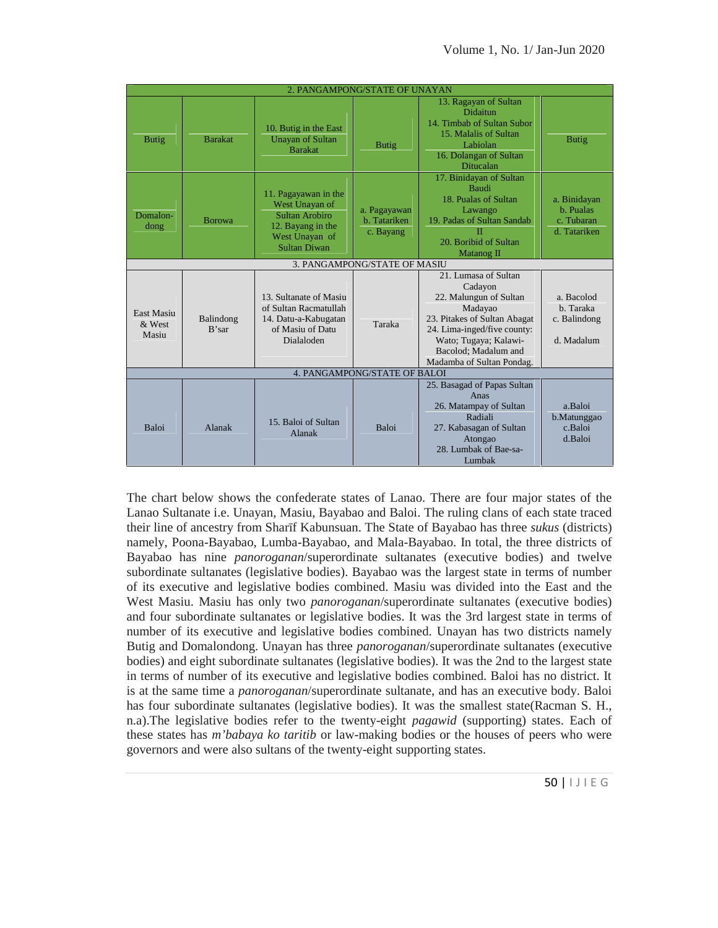|                                      |                    |                                                                                                                        | 2. PANGAMPONG/STATE OF UNAYAN             |                                                                                                                                                                                                                   |                                                         |
|--------------------------------------|--------------------|------------------------------------------------------------------------------------------------------------------------|-------------------------------------------|-------------------------------------------------------------------------------------------------------------------------------------------------------------------------------------------------------------------|---------------------------------------------------------|
| <b>Butig</b>                         | <b>Barakat</b>     | 10. Butig in the East<br><b>Unayan of Sultan</b><br><b>Barakat</b>                                                     | <b>Butig</b>                              | 13. Ragayan of Sultan<br><b>Didaitun</b><br>14. Timbab of Sultan Subor<br>15. Malalis of Sultan<br>Labiolan<br>16. Dolangan of Sultan<br>Ditucalan                                                                | <b>Butig</b>                                            |
| Domalon-<br>dong                     | <b>Borowa</b>      | 11. Pagayawan in the<br>West Unayan of<br>Sultan Arobiro<br>12. Bayang in the<br>West Unayan of<br><b>Sultan Diwan</b> | a. Pagayawan<br>b. Tatariken<br>c. Bayang | 17. Binidayan of Sultan<br><b>Baudi</b><br>18. Pualas of Sultan<br>Lawango<br>19. Padas of Sultan Sandab<br>20. Boribid of Sultan<br>Matanog II                                                                   | a. Binidayan<br>b. Pualas<br>c. Tubaran<br>d. Tatariken |
|                                      |                    |                                                                                                                        | 3. PANGAMPONG/STATE OF MASIU              |                                                                                                                                                                                                                   |                                                         |
| <b>East Masiu</b><br>& West<br>Masiu | Balindong<br>R'sar | 13. Sultanate of Masiu<br>of Sultan Racmatullah<br>14. Datu-a-Kabugatan<br>of Masiu of Datu<br>Dialaloden              | Taraka                                    | 21. Lumasa of Sultan<br>Cadayon<br>22. Malungun of Sultan<br>Madayao<br>23. Pitakes of Sultan Abagat<br>24. Lima-inged/five county:<br>Wato; Tugaya; Kalawi-<br>Bacolod; Madalum and<br>Madamba of Sultan Pondag. | a. Bacolod<br>b. Taraka<br>c. Balindong<br>d. Madalum   |
|                                      |                    |                                                                                                                        | 4. PANGAMPONG/STATE OF BALOI              |                                                                                                                                                                                                                   |                                                         |
| <b>Baloi</b>                         | Alanak             | 15. Baloi of Sultan<br>Alanak                                                                                          | <b>Baloi</b>                              | 25. Basagad of Papas Sultan<br>Anas<br>26. Matampay of Sultan<br>Radiali<br>27. Kabasagan of Sultan<br>Atongao<br>28. Lumbak of Bae-sa-<br>Lumbak                                                                 | a.Baloi<br>b.Matunggao<br>c.Baloi<br>d.Baloi            |

achain S. H.,<br>ttes. Each of<br>rs who were<br>50 |  $1 \cup 1 \in G$ The chart below shows the confederate states of Lanao. There are four major states of the Lanao Sultanate i.e. Unayan, Masiu, Bayabao and Baloi. The ruling clans of each state traced their line of ancestry from Sharīf Kabunsuan. The State of Bayabao has three *sukus* (districts) namely, Poona-Bayabao, Lumba-Bayabao, and Mala-Bayabao. In total, the three districts of Bayabao has nine *panoroganan*/superordinate sultanates (executive bodies) and twelve subordinate sultanates (legislative bodies). Bayabao was the largest state in terms of number of its executive and legislative bodies combined. Masiu was divided into the East and the West Masiu. Masiu has only two *panoroganan*/superordinate sultanates (executive bodies) and four subordinate sultanates or legislative bodies. It was the 3rd largest state in terms of number of its executive and legislative bodies combined. Unayan has two districts namely Butig and Domalondong. Unayan has three *panoroganan*/superordinate sultanates (executive bodies) and eight subordinate sultanates (legislative bodies). It was the 2nd to the largest state in terms of number of its executive and legislative bodies combined. Baloi has no district. It is at the same time a *panoroganan*/superordinate sultanate, and has an executive body. Baloi has four subordinate sultanates (legislative bodies). It was the smallest state(Racman S. H., n.a).The legislative bodies refer to the twenty-eight *pagawid* (supporting) states. Each of these states has *m'babaya ko taritib* or law-making bodies or the houses of peers who were governors and were also sultans of the twenty-eight supporting states.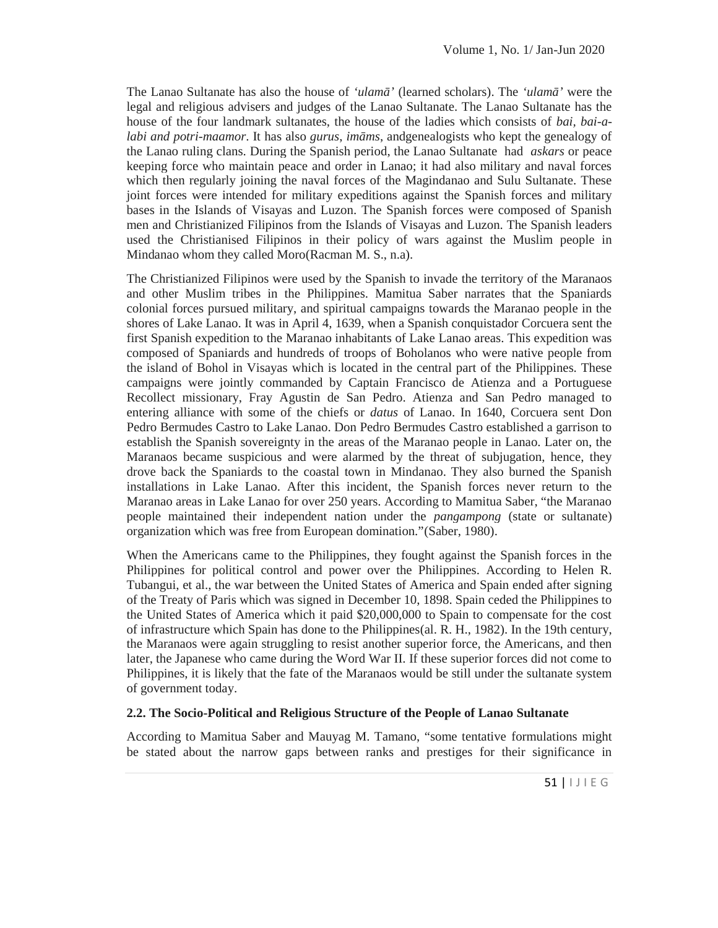The Lanao Sultanate has also the house of *'ulam'* (learned scholars). The *'ulam'* were the legal and religious advisers and judges of the Lanao Sultanate. The Lanao Sultanate has the house of the four landmark sultanates, the house of the ladies which consists of *bai, bai-alabi and potri-maamor*. It has also *gurus*, *im ms*, andgenealogists who kept the genealogy of the Lanao ruling clans. During the Spanish period, the Lanao Sultanate had *askars* or peace keeping force who maintain peace and order in Lanao; it had also military and naval forces which then regularly joining the naval forces of the Magindanao and Sulu Sultanate. These joint forces were intended for military expeditions against the Spanish forces and military bases in the Islands of Visayas and Luzon. The Spanish forces were composed of Spanish men and Christianized Filipinos from the Islands of Visayas and Luzon. The Spanish leaders used the Christianised Filipinos in their policy of wars against the Muslim people in Mindanao whom they called Moro(Racman M. S., n.a).

The Christianized Filipinos were used by the Spanish to invade the territory of the Maranaos and other Muslim tribes in the Philippines. Mamitua Saber narrates that the Spaniards colonial forces pursued military, and spiritual campaigns towards the Maranao people in the shores of Lake Lanao. It was in April 4, 1639, when a Spanish conquistador Corcuera sent the first Spanish expedition to the Maranao inhabitants of Lake Lanao areas. This expedition was composed of Spaniards and hundreds of troops of Boholanos who were native people from the island of Bohol in Visayas which is located in the central part of the Philippines. These campaigns were jointly commanded by Captain Francisco de Atienza and a Portuguese Recollect missionary, Fray Agustin de San Pedro. Atienza and San Pedro managed to entering alliance with some of the chiefs or *datus* of Lanao. In 1640, Corcuera sent Don Pedro Bermudes Castro to Lake Lanao. Don Pedro Bermudes Castro established a garrison to establish the Spanish sovereignty in the areas of the Maranao people in Lanao. Later on, the Maranaos became suspicious and were alarmed by the threat of subjugation, hence, they drove back the Spaniards to the coastal town in Mindanao. They also burned the Spanish installations in Lake Lanao. After this incident, the Spanish forces never return to the Maranao areas in Lake Lanao for over 250 years. According to Mamitua Saber, "the Maranao people maintained their independent nation under the *pangampong* (state or sultanate) organization which was free from European domination."(Saber, 1980).

When the Americans came to the Philippines, they fought against the Spanish forces in the Philippines for political control and power over the Philippines. According to Helen R. Tubangui, et al., the war between the United States of America and Spain ended after signing of the Treaty of Paris which was signed in December 10, 1898. Spain ceded the Philippines to the United States of America which it paid \$20,000,000 to Spain to compensate for the cost of infrastructure which Spain has done to the Philippines(al. R. H., 1982). In the 19th century, the Maranaos were again struggling to resist another superior force, the Americans, and then later, the Japanese who came during the Word War II. If these superior forces did not come to Philippines, it is likely that the fate of the Maranaos would be still under the sultanate system of government today.

#### **2.2. The Socio-Political and Religious Structure of the People of Lanao Sultanate**

nate<br>lations might<br>gnificance in<br>51 | | J | E G According to Mamitua Saber and Mauyag M. Tamano, "some tentative formulations might be stated about the narrow gaps between ranks and prestiges for their significance in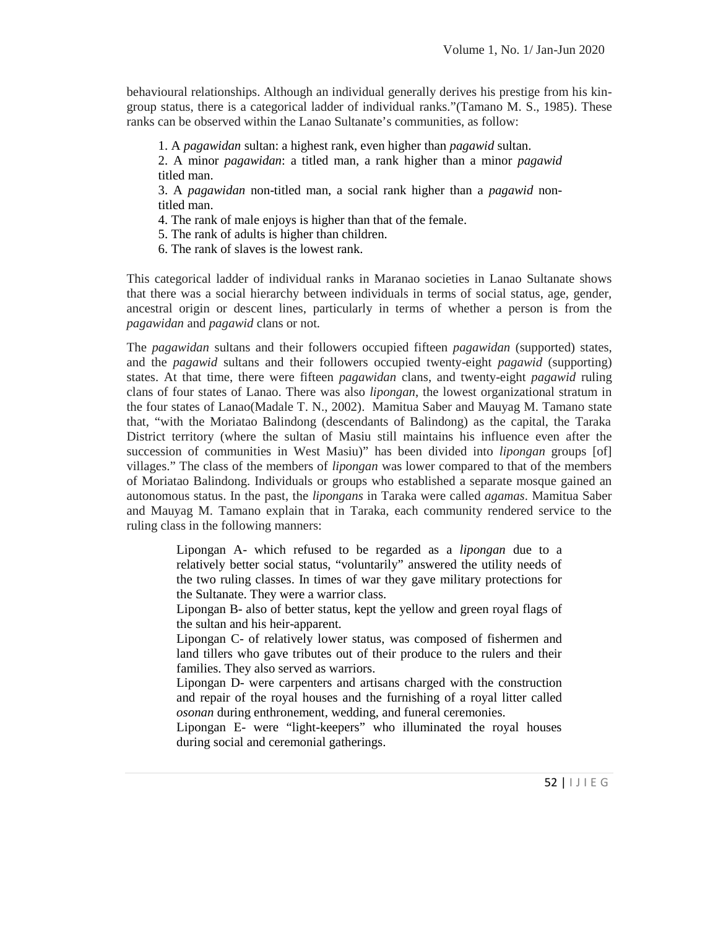behavioural relationships. Although an individual generally derives his prestige from his kin group status, there is a categorical ladder of individual ranks."(Tamano M. S., 1985). These ranks can be observed within the Lanao Sultanate's communities, as follow:

1. A *pagawidan* sultan: a highest rank, even higher than *pagawid* sultan.

2. A minor *pagawidan*: a titled man, a rank higher than a minor *pagawid* titled man.

3. A *pagawidan* non-titled man, a social rank higher than a *pagawid* nontitled man.

4. The rank of male enjoys is higher than that of the female.

5. The rank of adults is higher than children.

6. The rank of slaves is the lowest rank.

This categorical ladder of individual ranks in Maranao societies in Lanao Sultanate shows that there was a social hierarchy between individuals in terms of social status, age, gender, ancestral origin or descent lines, particularly in terms of whether a person is from the *pagawidan* and *pagawid* clans or not.

The *pagawidan* sultans and their followers occupied fifteen *pagawidan* (supported) states, and the *pagawid* sultans and their followers occupied twenty-eight *pagawid* (supporting) states. At that time, there were fifteen *pagawidan* clans, and twenty-eight *pagawid* ruling clans of four states of Lanao. There was also *lipongan*, the lowest organizational stratum in the four states of Lanao(Madale T. N., 2002). Mamitua Saber and Mauyag M. Tamano state that, "with the Moriatao Balindong (descendants of Balindong) as the capital, the Taraka District territory (where the sultan of Masiu still maintains his influence even after the succession of communities in West Masiu)" has been divided into *lipongan* groups [of] villages." The class of the members of *lipongan* was lower compared to that of the members of Moriatao Balindong. Individuals or groups who established a separate mosque gained an autonomous status. In the past, the *lipongans* in Taraka were called *agamas*. Mamitua Saber and Mauyag M. Tamano explain that in Taraka, each community rendered service to the ruling class in the following manners:

Lipongan A- which refused to be regarded as a *lipongan* due to a relatively better social status, "voluntarily" answered the utility needs of the two ruling classes. In times of war they gave military protections for the Sultanate. They were a warrior class.

Lipongan B- also of better status, kept the yellow and green royal flags of the sultan and his heir-apparent.

Lipongan C- of relatively lower status, was composed of fishermen and land tillers who gave tributes out of their produce to the rulers and their families. They also served as warriors.

Lipongan D- were carpenters and artisans charged with the construction and repair of the royal houses and the furnishing of a royal litter called *osonan* during enthronement, wedding, and funeral ceremonies.

Lipongan E- were "light-keepers" who illuminated the royal houses during social and ceremonial gatherings.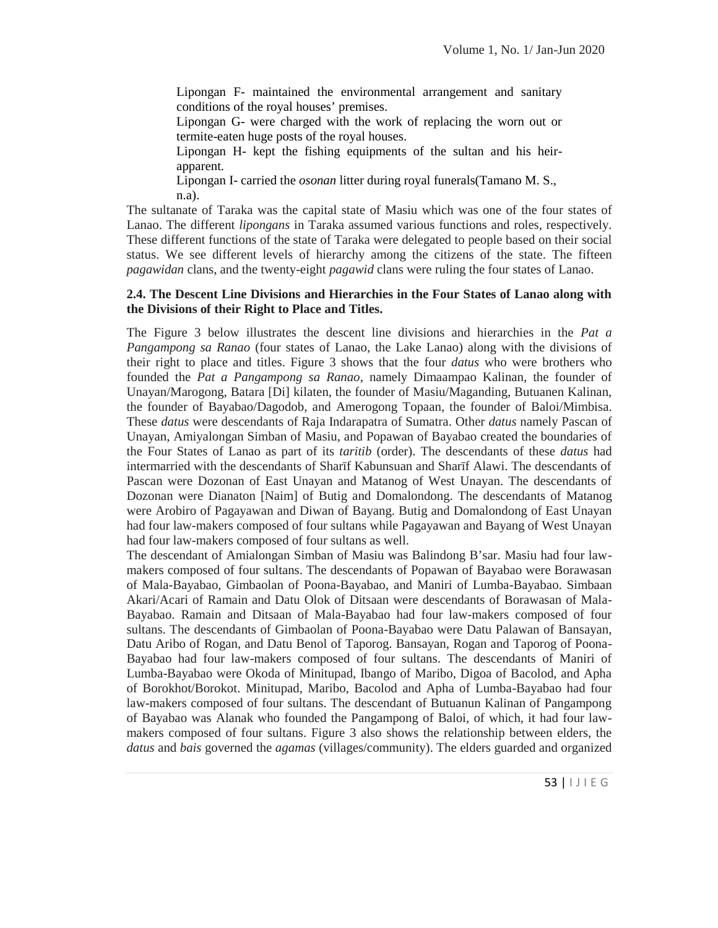Lipongan F- maintained the environmental arrangement and sanitary conditions of the royal houses' premises.

Lipongan G- were charged with the work of replacing the worn out or termite-eaten huge posts of the royal houses.

Lipongan H- kept the fishing equipments of the sultan and his heir apparent.

Lipongan I- carried the *osonan* litter during royal funerals(Tamano M. S., n.a).

The sultanate of Taraka was the capital state of Masiu which was one of the four states of Lanao. The different *lipongans* in Taraka assumed various functions and roles, respectively. These different functions of the state of Taraka were delegated to people based on their social status. We see different levels of hierarchy among the citizens of the state. The fifteen *pagawidan* clans, and the twenty-eight *pagawid* clans were ruling the four states of Lanao.

#### **2.4. The Descent Line Divisions and Hierarchies in the Four States of Lanao along with the Divisions of their Right to Place and Titles.**

The Figure 3 below illustrates the descent line divisions and hierarchies in the *Pat a Pangampong sa Ranao* (four states of Lanao, the Lake Lanao) along with the divisions of their right to place and titles. Figure 3 shows that the four *datus* who were brothers who founded the *Pat a Pangampong sa Ranao*, namely Dimaampao Kalinan, the founder of Unayan/Marogong, Batara [Di] kilaten, the founder of Masiu/Maganding, Butuanen Kalinan, the founder of Bayabao/Dagodob, and Amerogong Topaan, the founder of Baloi/Mimbisa. These *datus* were descendants of Raja Indarapatra of Sumatra. Other *datus* namely Pascan of Unayan, Amiyalongan Simban of Masiu, and Popawan of Bayabao created the boundaries of the Four States of Lanao as part of its *taritib* (order). The descendants of these *datus* had intermarried with the descendants of Shar f Kabunsuan and Shar f Alawi. The descendants of Pascan were Dozonan of East Unayan and Matanog of West Unayan. The descendants of Dozonan were Dianaton [Naim] of Butig and Domalondong. The descendants of Matanog were Arobiro of Pagayawan and Diwan of Bayang. Butig and Domalondong of East Unayan had four law-makers composed of four sultans while Pagayawan and Bayang of West Unayan had four law-makers composed of four sultans as well.

r angampong<br>ad four law-<br>n elders, the<br>nd organized<br>53 |  $1 \cup 1 \in G$ The descendant of Amialongan Simban of Masiu was Balindong B'sar. Masiu had four law makers composed of four sultans. The descendants of Popawan of Bayabao were Borawasan of Mala-Bayabao, Gimbaolan of Poona-Bayabao, and Maniri of Lumba-Bayabao. Simbaan Akari/Acari of Ramain and Datu Olok of Ditsaan were descendants of Borawasan of Mala- Bayabao. Ramain and Ditsaan of Mala-Bayabao had four law-makers composed of four sultans. The descendants of Gimbaolan of Poona-Bayabao were Datu Palawan of Bansayan, Datu Aribo of Rogan, and Datu Benol of Taporog. Bansayan, Rogan and Taporog of Poona- Bayabao had four law-makers composed of four sultans. The descendants of Maniri of Lumba-Bayabao were Okoda of Minitupad, Ibango of Maribo, Digoa of Bacolod, and Apha of Borokhot/Borokot. Minitupad, Maribo, Bacolod and Apha of Lumba-Bayabao had four law-makers composed of four sultans. The descendant of Butuanun Kalinan of Pangampong of Bayabao was Alanak who founded the Pangampong of Baloi, of which, it had four law makers composed of four sultans. Figure 3 also shows the relationship between elders, the *datus* and *bais* governed the *agamas* (villages/community). The elders guarded and organized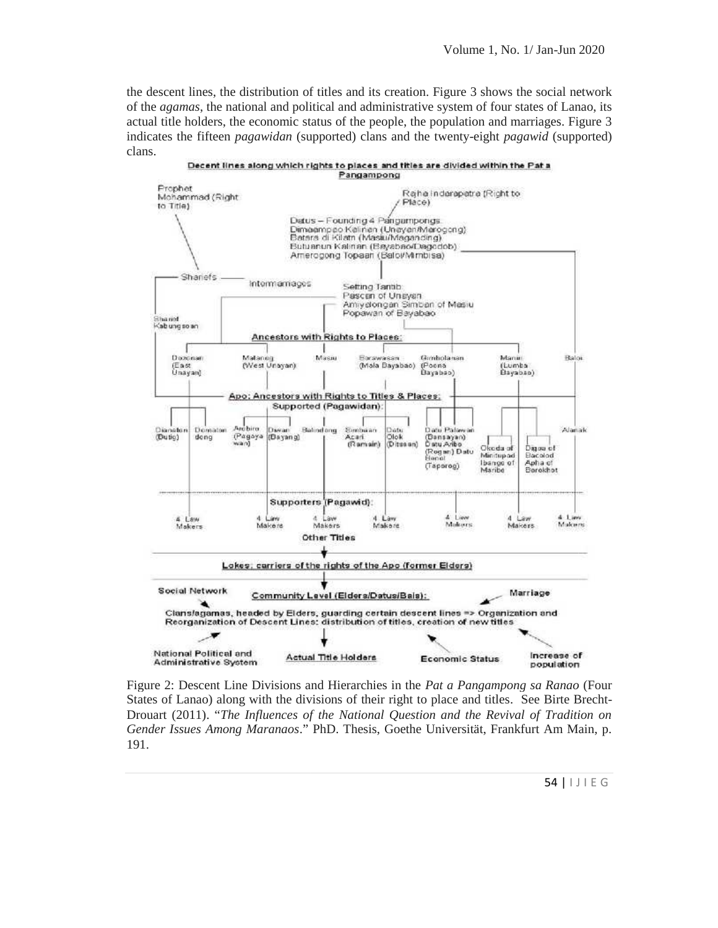the descent lines, the distribution of titles and its creation. Figure 3 shows the social network of the *agamas*, the national and political and administrative system of four states of Lanao, its actual title holders, the economic status of the people, the population and marriages. Figure 3 indicates the fifteen *pagawidan* (supported) clans and the twenty-eight *pagawid* (supported) clans.



Tradition on<br>Am Main, p.<br>54 |  $\vert \downarrow \vert$   $\vert \in \mathbb{G}$ Figure 2: Descent Line Divisions and Hierarchies in the *Pat a Pangampong sa Ranao* (Four States of Lanao) along with the divisions of their right to place and titles. See Birte Brecht-Drouart (2011). "*The Influences of the National Question and the Revival of Tradition on Gender Issues Among Maranaos*." PhD. Thesis, Goethe Universität, Frankfurt Am Main, p. 191.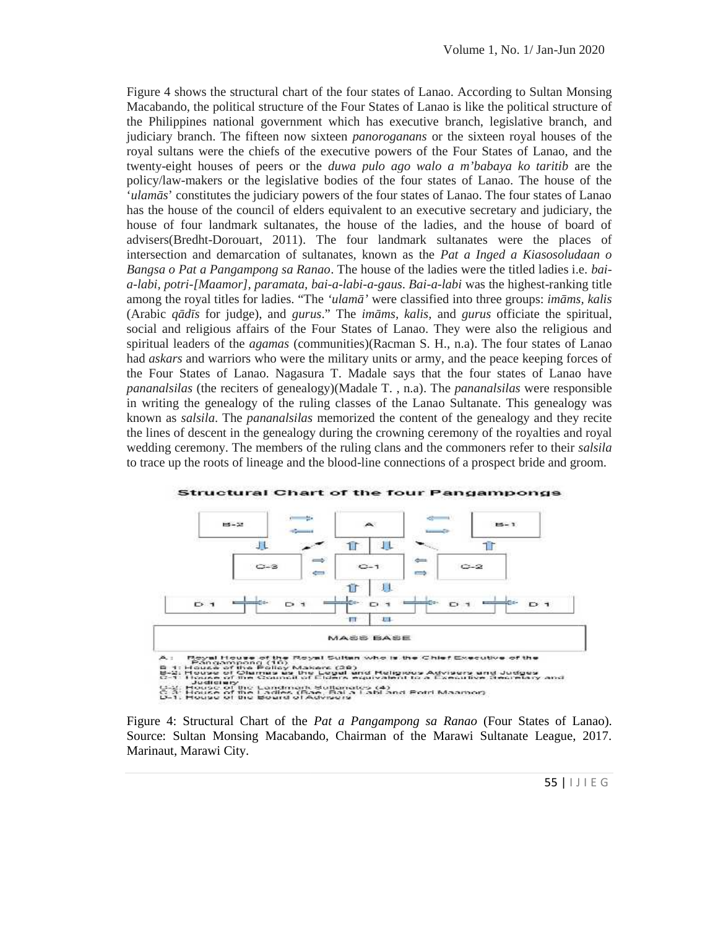Figure 4 shows the structural chart of the four states of Lanao. According to Sultan Monsing Macabando, the political structure of the Four States of Lanao is like the political structure of the Philippines national government which has executive branch, legislative branch, and judiciary branch. The fifteen now sixteen *panoroganans* or the sixteen royal houses of the royal sultans were the chiefs of the executive powers of the Four States of Lanao, and the twenty-eight houses of peers or the *duwa pulo ago walo a m'babaya ko taritib* are the policy/law-makers or the legislative bodies of the four states of Lanao. The house of the '*ulam s*' constitutes the judiciary powers of the four states of Lanao. The four states of Lanao has the house of the council of elders equivalent to an executive secretary and judiciary, the house of four landmark sultanates, the house of the ladies, and the house of board of advisers(Bredht-Dorouart, 2011). The four landmark sultanates were the places of intersection and demarcation of sultanates, known as the *Pat a Inged a Kiasosoludaan o Bangsa o Pat a Pangampong sa Ranao*. The house of the ladies were the titled ladies i.e. *baia-labi, potri-[Maamor], paramata, bai-a-labi-a-gaus*. *Bai-a-labi* was the highest-ranking title *paramata,* among the royal titles for ladies. "The 'ulam' were classified into three groups: *im ms, kalis* (Arabic *q d s* for judge), and *gurus*." The *im ms, kalis,* and *gurus* officiate the spiritual, social and religious affairs of the Four States of Lanao. They were also the religious and spiritual leaders of the *agamas* (communities)(Racman S. H., n.a). The four states of Lanao had *askars* and warriors who were the military units or army, and the peace keeping forces of the Four States of Lanao. Nagasura T. Madale says that the four states of Lanao have *pananalsilas* (the reciters of genealogy)(Madale T. , n.a). The *pananalsilas* were responsible in writing the genealogy of the ruling classes of the Lanao Sultanate. This genealogy was known as *salsila*. The *pananalsilas* memorized the content of the genealogy and they recite the lines of descent in the genealogy during the crowning ceremony of the royalties and royal wedding ceremony. The members of the ruling clans and the commoners refer to their *salsila* to trace up the roots of lineage and the blood-line connections of a prospect bride and groom. Figure 4 bottom is the structural that of the four states of Lanao, Accounting to Sultan Moneshand. And the Philippies sixteen potentions but the recent by the sixteen potentions of the Sultan of the Sultan of the Sultan o d *askars* and warriors who were the military units or army, and the peace keeping force Four States of Lanao. Nagasura T. Madale says that the four states of Lanao l<br>*nanalsilas* (the reciters of genealogy)(Madale T., n.a



s of Lanao).<br>
eague, 2017.<br>
55 |  $\vert \downarrow \vert$   $\vert$  E G Figure 4: Structural Chart of the *Pat a Pangampong sa Ranao* (Four States of Lanao). Source: Sultan Monsing Macabando, Chairman of the Marawi Sultanate League, 2017. Marinaut, Marawi City.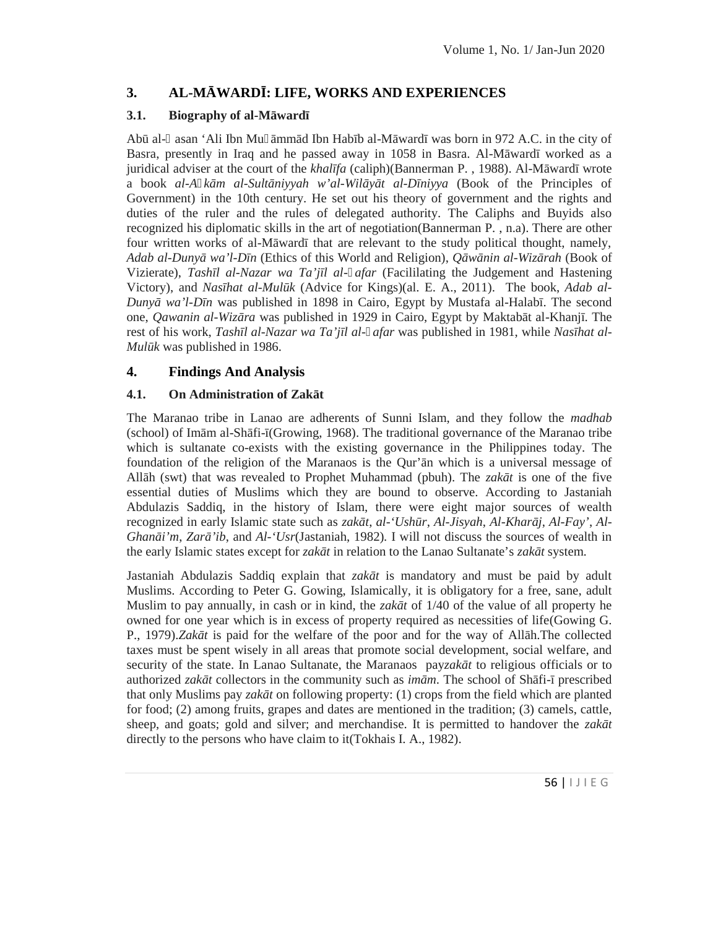# **3. AL-MĀWARDĪ: LIFE, WORKS AND EXPERIENCES**

## **3.1. Biography of al-M** ward

Ab al- asan 'Ali Ibn Mu mm d Ibn Hab b al-M ward was born in 972 A.C. in the city of Basra, presently in Iraq and he passed away in 1058 in Basra. Al-M ward worked as a juridical adviser at the court of the *khal fa* (caliph)(Bannerman P., 1988). Al-M ward wrote a book al-A *k m al-Sult niyyah w'al-Wil y t al-D niyya* (Book of the Principles of Government) in the 10th century. He set out his theory of government and the rights and duties of the ruler and the rules of delegated authority. The Caliphs and Buyids also recognized his diplomatic skills in the art of negotiation(Bannerman P. , n.a). There are other four written works of al-M ward that are relevant to the study political thought, namely, *Adab al-Duny wa'l-D n* (Ethics of this World and Religion), *Q w nin al-Wiz rah* (Book of Vizierate), *Tash l al-Nazar wa Ta'j l al- afar* (Facililating the Judgement and Hastening Victory), and *Nasīhat al-Mulūk* (Advice for Kings)(al. E. A., 2011). The book, *Adab al- Duny wa'l-Dn* was published in 1898 in Cairo, Egypt by Mustafa al-Halab . The second one, *Qawanin al-Wiz ra* was published in 1929 in Cairo, Egypt by Maktab t al-Khanj. The rest of his work, *Tash l al-Nazar wa Ta'j l al- afar* was published in 1981, while *Nas hat al-Mulk* was published in 1986.

# **4. Findings And Analysis**

## **4.1.** On Administration of Zak t

The Maranao tribe in Lanao are adherents of Sunni Islam, and they follow the *madhab*  $(\text{school})$  of Im m al-Sh fi- (Growing, 1968). The traditional governance of the Maranao tribe which is sultanate co-exists with the existing governance in the Philippines today. The foundation of the religion of the Maranaos is the Qur'n which is a universal message of All h (swt) that was revealed to Prophet Muhammad (pbuh). The *zak t* is one of the five essential duties of Muslims which they are bound to observe. According to Jastaniah Abdulazis Saddiq, in the history of Islam, there were eight major sources of wealth recognized in early Islamic state such as *zak t, al-'Ush r, Al-Jisyah, Al-Khar j, Al-Fay', Al-Ghan i'm, Zar 'ib, and*  $Al$ *-'Usr*(Jastaniah, 1982). I will not discuss the sources of wealth in the early Islamic states except for *zak t* in relation to the Lanao Sultanate's *zak t* system.

amels, cattle,<br>ver the zak t<br>56 |  $\vert \downarrow \vert$   $\vert$  E G Jastaniah Abdulazis Saddiq explain that *zak t* is mandatory and must be paid by adult Muslims. According to Peter G. Gowing, Islamically, it is obligatory for a free, sane, adult Muslim to pay annually, in cash or in kind, the *zak*  $t$  of  $1/40$  of the value of all property he owned for one year which is in excess of property required as necessities of life(Gowing G. P., 1979).*Zak t* is paid for the welfare of the poor and for the way of All h.The collected taxes must be spent wisely in all areas that promote social development, social welfare, and security of the state. In Lanao Sultanate, the Maranaos payzak t to religious officials or to authorized *zak t* collectors in the community such as *im m*. The school of Sh fi- prescribed that only Muslims pay *zak* t on following property: (1) crops from the field which are planted for food; (2) among fruits, grapes and dates are mentioned in the tradition; (3) camels, cattle, sheep, and goats; gold and silver; and merchandise. It is permitted to handover the *zak t* directly to the persons who have claim to it(Tokhais I. A., 1982).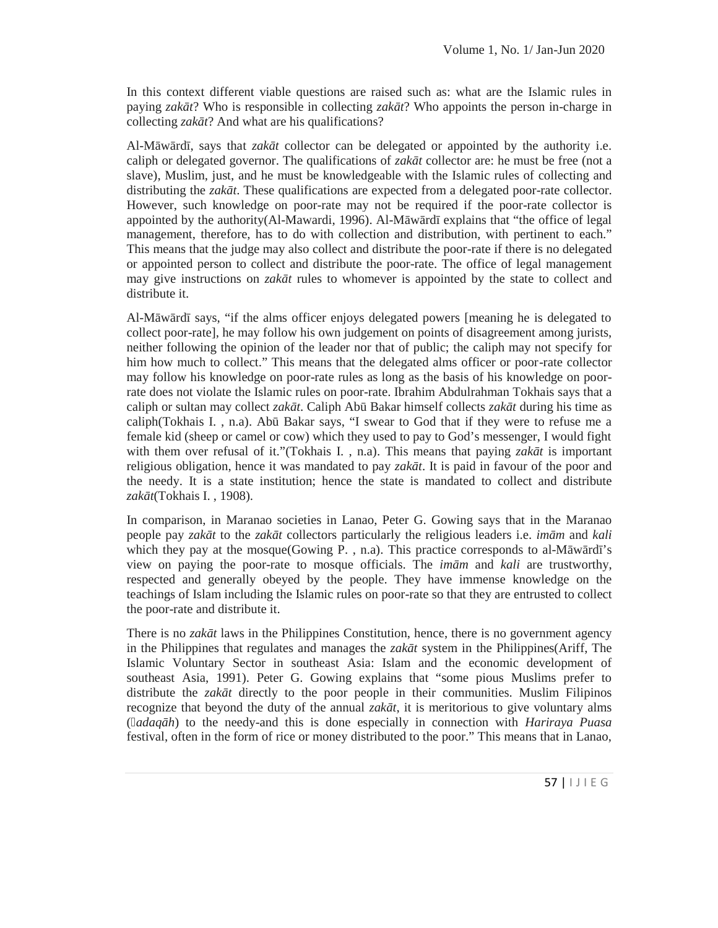In this context different viable questions are raised such as: what are the Islamic rules in paying *zak t*? Who is responsible in collecting *zak t*? Who appoints the person in-charge in collecting *zak t*? And what are his qualifications?

Al-M w rd, says that *zak t* collector can be delegated or appointed by the authority i.e. caliph or delegated governor. The qualifications of *zak t* collector are: he must be free (not a slave), Muslim, just, and he must be knowledgeable with the Islamic rules of collecting and distributing the *zak t*. These qualifications are expected from a delegated poor-rate collector. However, such knowledge on poor-rate may not be required if the poor-rate collector is appointed by the authority(Al-Mawardi, 1996). Al-M  $\mu$  rd explains that "the office of legal management, therefore, has to do with collection and distribution, with pertinent to each." This means that the judge may also collect and distribute the poor-rate if there is no delegated or appointed person to collect and distribute the poor-rate. The office of legal management may give instructions on *zak t* rules to whomever is appointed by the state to collect and distribute it.

Al-M w rd says, "if the alms officer enjoys delegated powers [meaning he is delegated to collect poor-rate], he may follow his own judgement on points of disagreement among jurists, neither following the opinion of the leader nor that of public; the caliph may not specify for him how much to collect." This means that the delegated alms officer or poor-rate collector may follow his knowledge on poor-rate rules as long as the basis of his knowledge on poorrate does not violate the Islamic rules on poor-rate. Ibrahim Abdulrahman Tokhais says that a caliph or sultan may collect *zak t*. Caliph Ab Bakar himself collects *zak t* during his time as caliph(Tokhais I. , n.a). Abū Bakar says, "I swear to God that if they were to refuse me a female kid (sheep or camel or cow) which they used to pay to God's messenger, I would fight with them over refusal of it."(Tokhais I., n.a). This means that paying *zak*  $t$  is important religious obligation, hence it was mandated to pay *zak t*. It is paid in favour of the poor and the needy. It is a state institution; hence the state is mandated to collect and distribute *zakāt*(Tokhais I. , 1908)*.*

In comparison, in Maranao societies in Lanao, Peter G. Gowing says that in the Maranao people pay *zak t* to the *zak t* collectors particularly the religious leaders i.e. *im m* and *kali* which they pay at the mosque(Gowing P., n.a). This practice corresponds to al-M  $\mu$  rd 's view on paying the poor-rate to mosque officials. The  $im$  m and  $kali$  are trustworthy, respected and generally obeyed by the people. They have immense knowledge on the teachings of Islam including the Islamic rules on poor-rate so that they are entrusted to collect the poor-rate and distribute it.

buntary alms<br> *iraya Puasa*<br>
hat in Lanao,<br>
57 | 1 J | E G There is no *zak t* laws in the Philippines Constitution, hence, there is no government agency in the Philippines that regulates and manages the *zak t* system in the Philippines(Ariff, The Islamic Voluntary Sector in southeast Asia: Islam and the economic development of southeast Asia, 1991). Peter G. Gowing explains that "some pious Muslims prefer to distribute the *zak t* directly to the poor people in their communities. Muslim Filipinos recognize that beyond the duty of the annual *zak t*, it is meritorious to give voluntary alms ( *adaqāh*) to the needy-and this is done especially in connection with *Hariraya Puasa* festival, often in the form of rice or money distributed to the poor." This means that in Lanao,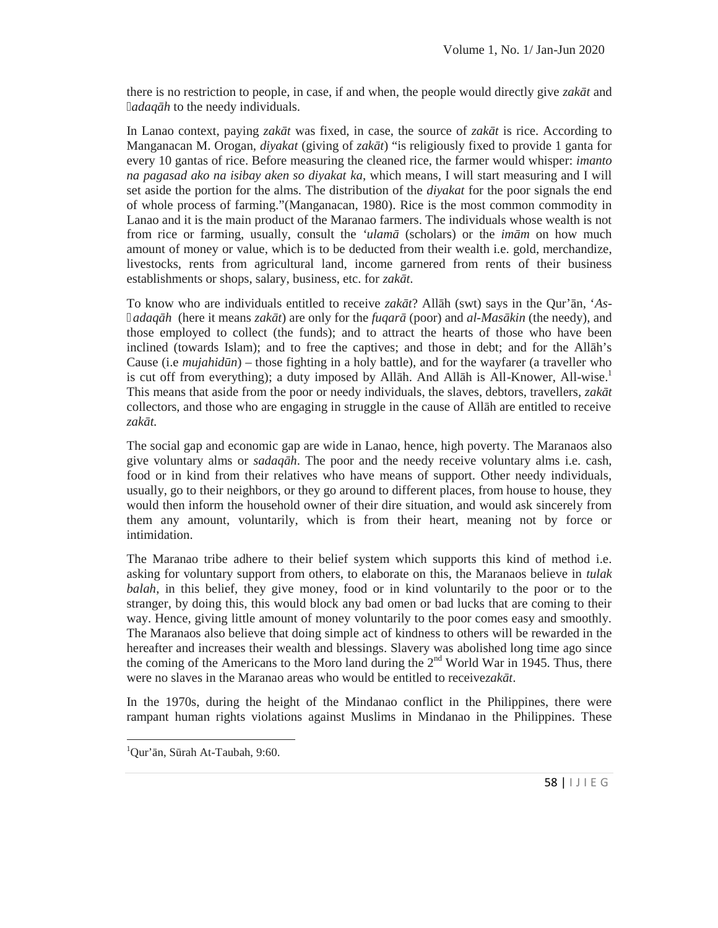there is no restriction to people, in case, if and when, the people would directly give *zak*  $t$  and *adaq h* to the needy individuals.

In Lanao context, paying *zak t* was fixed, in case, the source of *zak t* is rice. According to Manganacan M. Orogan, *diyakat* (giving of *zak t*) "is religiously fixed to provide 1 ganta for every 10 gantas of rice. Before measuring the cleaned rice, the farmer would whisper: *imanto na pagasad ako na isibay aken so diyakat ka*, which means, I will start measuring and I will set aside the portion for the alms. The distribution of the *diyakat* for the poor signals the end of whole process of farming."(Manganacan, 1980). Rice is the most common commodity in Lanao and it is the main product of the Maranao farmers. The individuals whose wealth is not from rice or farming, usually, consult the *'ulam* (scholars) or the *im m* on how much amount of money or value, which is to be deducted from their wealth i.e. gold, merchandize, livestocks, rents from agricultural land, income garnered from rents of their business establishments or shops, salary, business, etc. for *zak t*.

To know who are individuals entitled to receive *zak t*? All h (swt) says in the Qur' n, '*Asadaq h* (here it means *zak t*) are only for the *fuqar* (poor) and *al-Mas kin* (the needy), and those employed to collect (the funds); and to attract the hearts of those who have been inclined (towards Islam); and to free the captives; and those in debt; and for the All h's Cause (i.e *mujahid n*) – those fighting in a holy battle), and for the wayfarer (a traveller who is cut off from everything); a duty imposed by All h. And All h is All-Knower, All-wise.<sup>1</sup> This means that aside from the poor or needy individuals, the slaves, debtors, travellers, *zak t* collectors, and those who are engaging in struggle in the cause of All h are entitled to receive *zakāt.*

The social gap and economic gap are wide in Lanao, hence, high poverty. The Maranaos also give voluntary alms or *sadaqāh*. The poor and the needy receive voluntary alms i.e. cash, food or in kind from their relatives who have means of support. Other needy individuals, usually, go to their neighbors, or they go around to different places, from house to house, they would then inform the household owner of their dire situation, and would ask sincerely from them any amount, voluntarily, which is from their heart, meaning not by force or intimidation.

The Maranao tribe adhere to their belief system which supports this kind of method i.e. asking for voluntary support from others, to elaborate on this, the Maranaos believe in *tulak balah*, in this belief, they give money, food or in kind voluntarily to the poor or to the stranger, by doing this, this would block any bad omen or bad lucks that are coming to their way. Hence, giving little amount of money voluntarily to the poor comes easy and smoothly. The Maranaos also believe that doing simple act of kindness to others will be rewarded in the hereafter and increases their wealth and blessings. Slavery was abolished long time ago since the coming of the Americans to the Moro land during the  $2<sup>nd</sup>$  World War in 1945. Thus, there were no slaves in the Maranao areas who would be entitled to receivezak t.

Find Solution These<br>58 |  $1 \cup 1 \in G$ In the 1970s, during the height of the Mindanao conflict in the Philippines, there were rampant human rights violations against Muslims in Mindanao in the Philippines. These

 $1$ Qur'n, S rah At-Taubah, 9:60.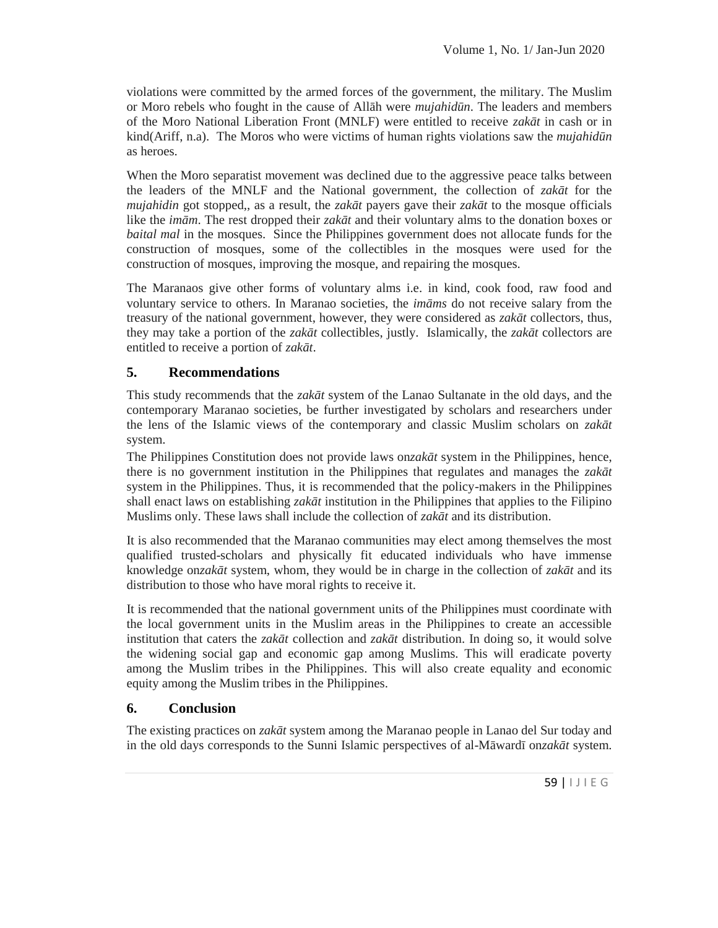violations were committed by the armed forces of the government, the military. The Muslim or Moro rebels who fought in the cause of All h were *mujahid n*. The leaders and members of the Moro National Liberation Front (MNLF) were entitled to receive *zak* t in cash or in kind(Ariff, n.a). The Moros who were victims of human rights violations saw the *mujahid n* as heroes.

When the Moro separatist movement was declined due to the aggressive peace talks between the leaders of the MNLF and the National government, the collection of *zak t* for the *mujahidin* got stopped,, as a result, the *zak t* payers gave their *zak t* to the mosque officials like the *im m*. The rest dropped their *zak t* and their voluntary alms to the donation boxes or *baital mal* in the mosques. Since the Philippines government does not allocate funds for the construction of mosques, some of the collectibles in the mosques were used for the construction of mosques, improving the mosque, and repairing the mosques.

The Maranaos give other forms of voluntary alms i.e. in kind, cook food, raw food and voluntary service to others. In Maranao societies, the *im ms* do not receive salary from the treasury of the national government, however, they were considered as *zak t* collectors, thus, they may take a portion of the *zak t* collectibles, justly. Islamically, the *zak t* collectors are entitled to receive a portion of *zak t*.

# **5. Recommendations**

This study recommends that the *zak t* system of the Lanao Sultanate in the old days, and the contemporary Maranao societies, be further investigated by scholars and researchers under the lens of the Islamic views of the contemporary and classic Muslim scholars on *zak t* system.

The Philippines Constitution does not provide laws on*zak t* system in the Philippines, hence, there is no government institution in the Philippines that regulates and manages the *zak t* system in the Philippines. Thus, it is recommended that the policy-makers in the Philippines shall enact laws on establishing *zak* t institution in the Philippines that applies to the Filipino Muslims only. These laws shall include the collection of *zak* t and its distribution.

It is also recommended that the Maranao communities may elect among themselves the most qualified trusted-scholars and physically fit educated individuals who have immense knowledge on*zak t* system, whom, they would be in charge in the collection of *zak t* and its distribution to those who have moral rights to receive it.

It is recommended that the national government units of the Philippines must coordinate with the local government units in the Muslim areas in the Philippines to create an accessible institution that caters the *zak t* collection and *zak t* distribution. In doing so, it would solve the widening social gap and economic gap among Muslims. This will eradicate poverty among the Muslim tribes in the Philippines. This will also create equality and economic equity among the Muslim tribes in the Philippines.

# **6. Conclusion**

Sur today and<br> *gak t* system.<br>
59 |  $\vert \downarrow \vert$   $\vert$  E G The existing practices on *zak t* system among the Maranao people in Lanao del Sur today and in the old days corresponds to the Sunni Islamic perspectives of al-M ward on*zak t* system.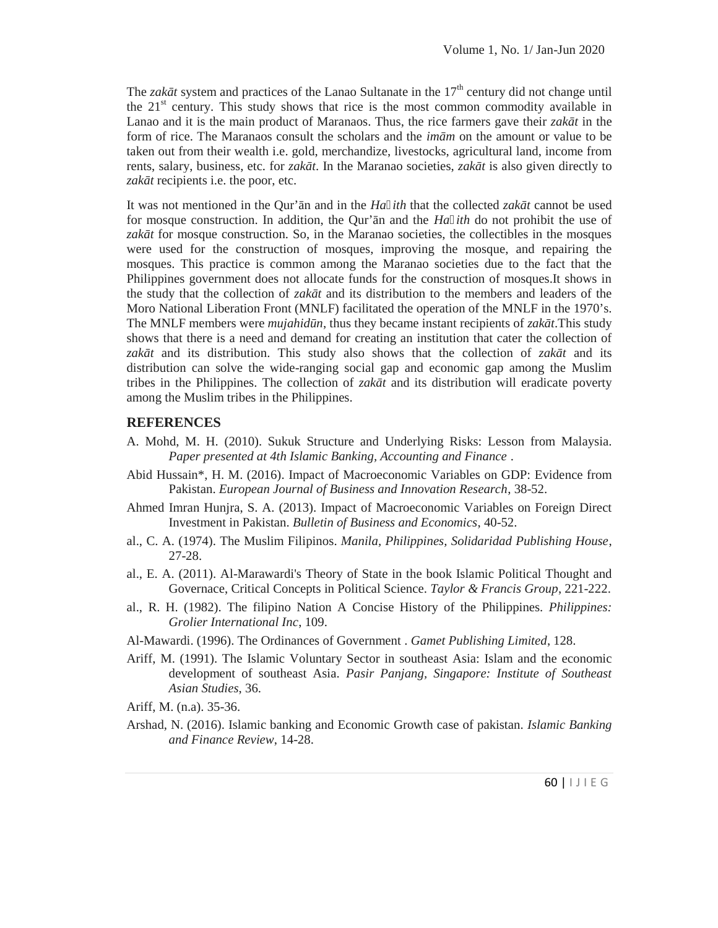The *zak t* system and practices of the Lanao Sultanate in the 17<sup>th</sup> century did not change until the  $21<sup>st</sup>$  century. This study shows that rice is the most common commodity available in Lanao and it is the main product of Maranaos. Thus, the rice farmers gave their *zak*  $t$  in the form of rice. The Maranaos consult the scholars and the *im m* on the amount or value to be taken out from their wealth i.e. gold, merchandize, livestocks, agricultural land, income from rents, salary, business, etc. for *zak t*. In the Maranao societies, *zak t* is also given directly to *zak t* recipients i.e. the poor, etc.

It was not mentioned in the Qur'n and in the *Ha ith* that the collected *zak* t cannot be used for mosque construction. In addition, the Qur'ān and the *Ha ith* do not prohibit the use of zak t for mosque construction. So, in the Maranao societies, the collectibles in the mosques were used for the construction of mosques, improving the mosque, and repairing the mosques. This practice is common among the Maranao societies due to the fact that the Philippines government does not allocate funds for the construction of mosques.It shows in the study that the collection of *zak*  $t$  and its distribution to the members and leaders of the Moro National Liberation Front (MNLF) facilitated the operation of the MNLF in the 1970's. The MNLF members were *mujahidn*, thus they became instant recipients of *zak t*.This study shows that there is a need and demand for creating an institution that cater the collection of zak t and its distribution. This study also shows that the collection of *zak* t and its distribution can solve the wide-ranging social gap and economic gap among the Muslim tribes in the Philippines. The collection of  $zak$  t and its distribution will eradicate poverty among the Muslim tribes in the Philippines.

### **REFERENCES**

- A. Mohd, M. H. (2010). Sukuk Structure and Underlying Risks: Lesson from Malaysia. *Paper presented at 4th Islamic Banking, Accounting and Finance* .
- Abid Hussain\*, H. M. (2016). Impact of Macroeconomic Variables on GDP: Evidence from Pakistan. *European Journal of Business and Innovation Research*, 38-52.
- Ahmed Imran Hunjra, S. A. (2013). Impact of Macroeconomic Variables on Foreign Direct Investment in Pakistan. *Bulletin of Business and Economics*, 40-52.
- al., C. A. (1974). The Muslim Filipinos. *Manila, Philippines, Solidaridad Publishing House*, 27-28.
- al., E. A. (2011). Al-Marawardi's Theory of State in the book Islamic Political Thought and Governace, Critical Concepts in Political Science. *Taylor & Francis Group*, 221-222.
- al., R. H. (1982). The filipino Nation A Concise History of the Philippines. *Philippines: Grolier International Inc*, 109.
- Al-Mawardi. (1996). The Ordinances of Government . *Gamet Publishing Limited*, 128.
- Ariff, M. (1991). The Islamic Voluntary Sector in southeast Asia: Islam and the economic development of southeast Asia. *Pasir Panjang, Singapore: Institute of Southeast Asian Studies*, 36.

Ariff, M. (n.a). 35-36.

umic Banking<br>60 | I J I E G Arshad, N. (2016). Islamic banking and Economic Growth case of pakistan. *Islamic Banking and Finance Review*, 14-28.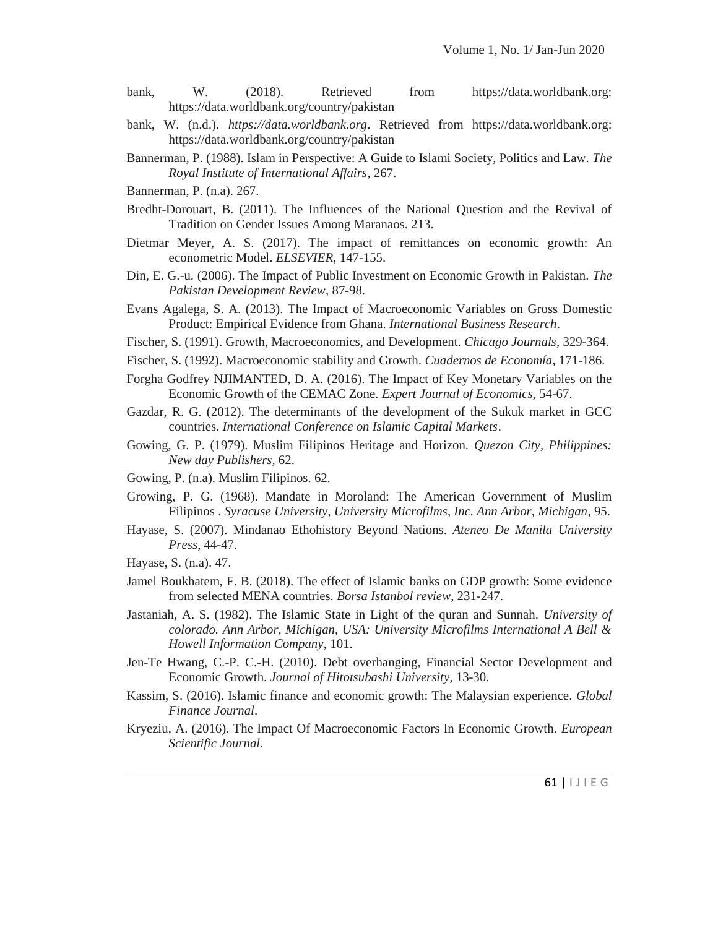- bank, W. (2018). Retrieved from https://data.worldbank.org: https://data.worldbank.org/country/pakistan
- bank, W. (n.d.). *https://data.worldbank.org*. Retrieved from https://data.worldbank.org: https://data.worldbank.org/country/pakistan
- Bannerman, P. (1988). Islam in Perspective: A Guide to Islami Society, Politics and Law. *The Royal Institute of International Affairs*, 267.
- Bannerman, P. (n.a). 267.
- Bredht-Dorouart, B. (2011). The Influences of the National Question and the Revival of Tradition on Gender Issues Among Maranaos. 213.
- Dietmar Meyer, A. S. (2017). The impact of remittances on economic growth: An econometric Model. *ELSEVIER*, 147-155.
- Din, E. G.-u. (2006). The Impact of Public Investment on Economic Growth in Pakistan. *The Pakistan Development Review*, 87-98.
- Evans Agalega, S. A. (2013). The Impact of Macroeconomic Variables on Gross Domestic Product: Empirical Evidence from Ghana. *International Business Research*.
- Fischer, S. (1991). Growth, Macroeconomics, and Development. *Chicago Journals*, 329-364.
- Fischer, S. (1992). Macroeconomic stability and Growth. *Cuadernos de Economía*, 171-186.
- Forgha Godfrey NJIMANTED, D. A. (2016). The Impact of Key Monetary Variables on the Economic Growth of the CEMAC Zone. *Expert Journal of Economics*, 54-67.
- Gazdar, R. G. (2012). The determinants of the development of the Sukuk market in GCC countries. *International Conference on Islamic Capital Markets*.
- Gowing, G. P. (1979). Muslim Filipinos Heritage and Horizon. *Quezon City, Philippines: New day Publishers*, 62.
- Gowing, P. (n.a). Muslim Filipinos. 62.
- Growing, P. G. (1968). Mandate in Moroland: The American Government of Muslim Filipinos . *Syracuse University, University Microfilms, Inc. Ann Arbor, Michigan*, 95.
- Hayase, S. (2007). Mindanao Ethohistory Beyond Nations. *Ateneo De Manila University Press*, 44-47.
- Hayase, S. (n.a). 47.
- Jamel Boukhatem, F. B. (2018). The effect of Islamic banks on GDP growth: Some evidence from selected MENA countries. *Borsa Istanbol review*, 231-247.
- Jastaniah, A. S. (1982). The Islamic State in Light of the quran and Sunnah. *University of colorado. Ann Arbor, Michigan, USA: University Microfilms International A Bell & Howell Information Company*, 101.
- Jen-Te Hwang, C.-P. C.-H. (2010). Debt overhanging, Financial Sector Development and Economic Growth. *Journal of Hitotsubashi University*, 13-30.
- Kassim, S. (2016). Islamic finance and economic growth: The Malaysian experience. *Global Finance Journal*.
- th. *European*<br>61 |  $\vert \ \vert$  J  $\vert \ \in \ G$ Kryeziu, A. (2016). The Impact Of Macroeconomic Factors In Economic Growth. *European Scientific Journal*.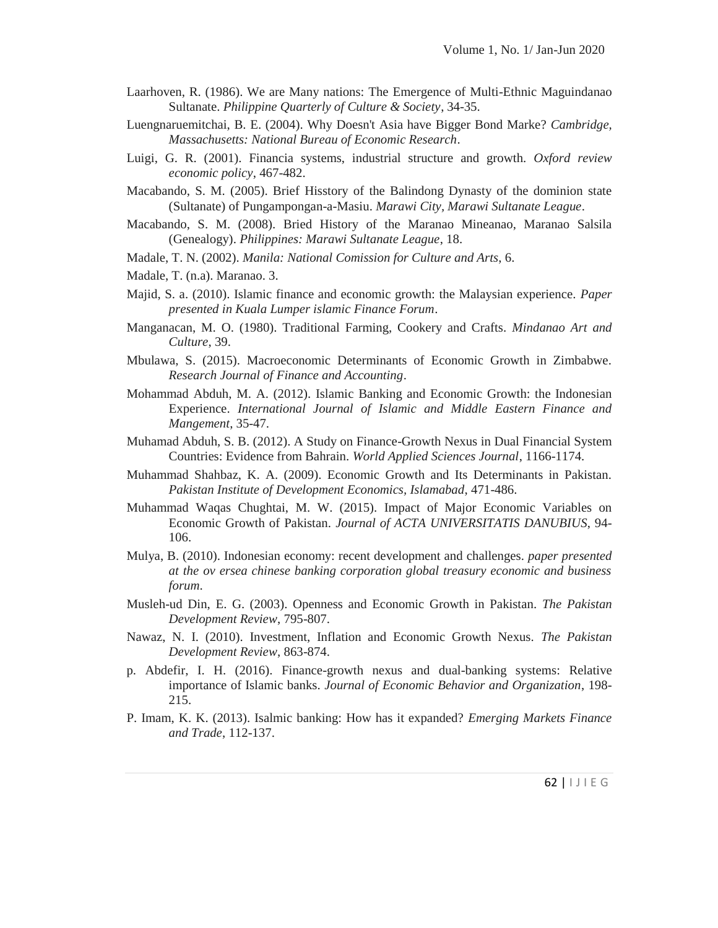- Laarhoven, R. (1986). We are Many nations: The Emergence of Multi-Ethnic Maguindanao Sultanate. *Philippine Quarterly of Culture & Society*, 34-35.
- Luengnaruemitchai, B. E. (2004). Why Doesn't Asia have Bigger Bond Marke? *Cambridge, Massachusetts: National Bureau of Economic Research*.
- Luigi, G. R. (2001). Financia systems, industrial structure and growth. *Oxford review economic policy*, 467-482.
- Macabando, S. M. (2005). Brief Hisstory of the Balindong Dynasty of the dominion state (Sultanate) of Pungampongan-a-Masiu. *Marawi City, Marawi Sultanate League*.
- Macabando, S. M. (2008). Bried History of the Maranao Mineanao, Maranao Salsila (Genealogy). *Philippines: Marawi Sultanate League*, 18.
- Madale, T. N. (2002). *Manila: National Comission for Culture and Arts*, 6.
- Madale, T. (n.a). Maranao. 3.
- Majid, S. a. (2010). Islamic finance and economic growth: the Malaysian experience. *Paper presented in Kuala Lumper islamic Finance Forum*.
- Manganacan, M. O. (1980). Traditional Farming, Cookery and Crafts. *Mindanao Art and Culture*, 39.
- Mbulawa, S. (2015). Macroeconomic Determinants of Economic Growth in Zimbabwe. *Research Journal of Finance and Accounting*.
- Mohammad Abduh, M. A. (2012). Islamic Banking and Economic Growth: the Indonesian Experience. *International Journal of Islamic and Middle Eastern Finance and Mangement*, 35-47.
- Muhamad Abduh, S. B. (2012). A Study on Finance-Growth Nexus in Dual Financial System Countries: Evidence from Bahrain. *World Applied Sciences Journal*, 1166-1174.
- Muhammad Shahbaz, K. A. (2009). Economic Growth and Its Determinants in Pakistan. *Pakistan Institute of Development Economics, Islamabad*, 471-486.
- Muhammad Waqas Chughtai, M. W. (2015). Impact of Major Economic Variables on Economic Growth of Pakistan. *Journal of ACTA UNIVERSITATIS DANUBIUS*, 94- 106.
- Mulya, B. (2010). Indonesian economy: recent development and challenges. *paper presented at the ov ersea chinese banking corporation global treasury economic and business forum*.
- Musleh-ud Din, E. G. (2003). Openness and Economic Growth in Pakistan. *The Pakistan Development Review*, 795-807.
- Nawaz, N. I. (2010). Investment, Inflation and Economic Growth Nexus. *The Pakistan Development Review*, 863-874.
- p. Abdefir, I. H. (2016). Finance-growth nexus and dual-banking systems: Relative importance of Islamic banks. *Journal of Economic Behavior and Organization*, 198- 215.
- $kets \, \textit{Finance}$ <br>62 | I J I E G P. Imam, K. K. (2013). Isalmic banking: How has it expanded? *Emerging Markets Finance and Trade*, 112-137.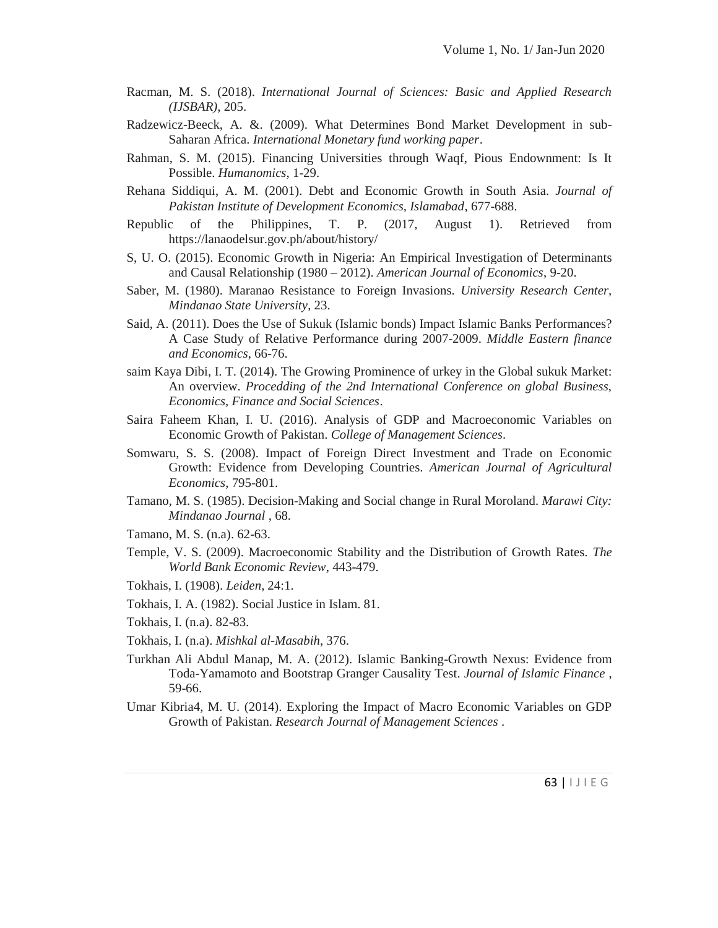- Racman, M. S. (2018). *International Journal of Sciences: Basic and Applied Research (IJSBAR)*, 205.
- Radzewicz-Beeck, A. &. (2009). What Determines Bond Market Development in sub- Saharan Africa. *International Monetary fund working paper*.
- Rahman, S. M. (2015). Financing Universities through Waqf, Pious Endownment: Is It Possible. *Humanomics*, 1-29.
- Rehana Siddiqui, A. M. (2001). Debt and Economic Growth in South Asia. *Journal of Pakistan Institute of Development Economics, Islamabad*, 677-688.
- Republic of the Philippines, T. P. (2017, August 1). Retrieved from https://lanaodelsur.gov.ph/about/history/
- S, U. O. (2015). Economic Growth in Nigeria: An Empirical Investigation of Determinants and Causal Relationship (1980 – 2012). *American Journal of Economics*, 9-20.
- Saber, M. (1980). Maranao Resistance to Foreign Invasions. *University Research Center, Mindanao State University*, 23.
- Said, A. (2011). Does the Use of Sukuk (Islamic bonds) Impact Islamic Banks Performances? A Case Study of Relative Performance during 2007-2009. *Middle Eastern finance and Economics*, 66-76.
- saim Kaya Dibi, I. T. (2014). The Growing Prominence of urkey in the Global sukuk Market: An overview. *Procedding of the 2nd International Conference on global Business, Economics, Finance and Social Sciences*.
- Saira Faheem Khan, I. U. (2016). Analysis of GDP and Macroeconomic Variables on Economic Growth of Pakistan. *College of Management Sciences*.
- Somwaru, S. S. (2008). Impact of Foreign Direct Investment and Trade on Economic Growth: Evidence from Developing Countries. *American Journal of Agricultural Economics*, 795-801.
- Tamano, M. S. (1985). Decision-Making and Social change in Rural Moroland. *Marawi City: Mindanao Journal* , 68.
- Tamano, M. S. (n.a). 62-63.
- Temple, V. S. (2009). Macroeconomic Stability and the Distribution of Growth Rates. *The World Bank Economic Review*, 443-479.
- Tokhais, I. (1908). *Leiden*, 24:1.
- Tokhais, I. A. (1982). Social Justice in Islam. 81.
- Tokhais, I. (n.a). 82-83.
- Tokhais, I. (n.a). *Mishkal al-Masabih*, 376.
- Turkhan Ali Abdul Manap, M. A. (2012). Islamic Banking-Growth Nexus: Evidence from Toda-Yamamoto and Bootstrap Granger Causality Test. *Journal of Islamic Finance* , 59-66.
- bles on GDP<br>63 | I J I E G Umar Kibria4, M. U. (2014). Exploring the Impact of Macro Economic Variables on GDP Growth of Pakistan. *Research Journal of Management Sciences* .